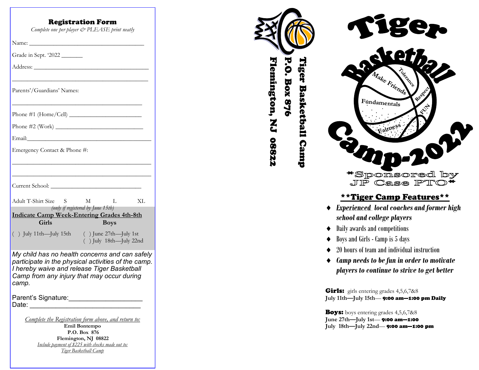| <b>Registration Form</b><br>Complete one per player & PLEASE print neatly                                                                                                                                   |
|-------------------------------------------------------------------------------------------------------------------------------------------------------------------------------------------------------------|
|                                                                                                                                                                                                             |
| Grade in Sept. '2022 _______                                                                                                                                                                                |
|                                                                                                                                                                                                             |
| Parents'/Guardians' Names:                                                                                                                                                                                  |
|                                                                                                                                                                                                             |
|                                                                                                                                                                                                             |
|                                                                                                                                                                                                             |
| Emergency Contact & Phone #:                                                                                                                                                                                |
| M<br>Adult T-Shirt Size S<br>$\mathbf{L}$<br>XL<br>(only if registered by June 15th)<br><b>Indicate Camp Week-Entering Grades 4th-8th</b><br>Girls<br><b>Boys</b>                                           |
| () July 11th-July 15th () June 27th-July 1st<br>$( )$ July 18th-July 22nd                                                                                                                                   |
| My child has no health concerns and can safely<br>participate in the physical activities of the camp.<br>I hereby waive and release Tiger Basketball<br>Camp from any injury that may occur during<br>camp. |
| Parent's Signature:<br>Date:                                                                                                                                                                                |
| Complete the Registration form above, and return to:<br>Emil Bontempo<br>P.O. Box 876<br>Flemington, NJ 08822<br>Include payment of \$225 with checks made out to:<br>Tiger Basketball Camp                 |





### \*\*Tiger Camp Features\*\*

- *Experienced local coaches and former high school and college players*
- $\triangleleft$  Daily awards and competitions
- $\triangleleft$  Boys and Girls Camp is 5 days
- ◆ 20 hours of team and individual instruction
- *Camp needs to be fun in order to motivate players to continue to strive to get better*

Girls: girls entering grades 4,5,6,7&8 **July 11th —July 15th** — 9:00 am —1:00 pm Daily

**Boys:** boys entering grades 4,5,6,7&8 **June 27th —July 1st** — 9:00 am —1:00 **July 18th —July 22nd** — 9:00 am —1:00 pm